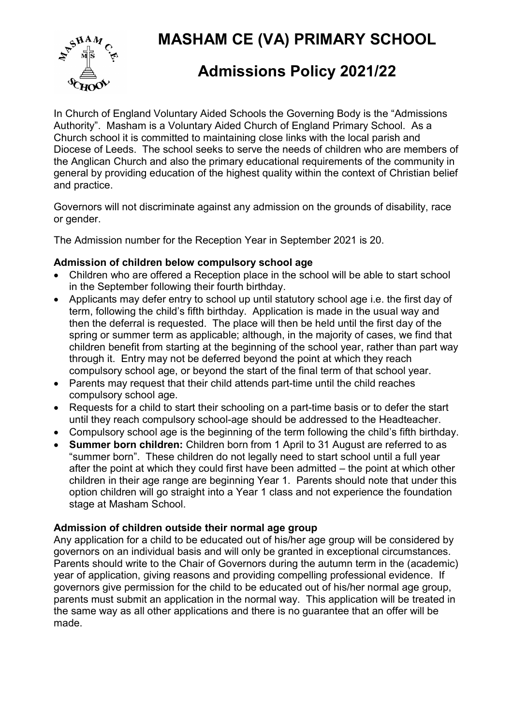MASHAM CE (VA) PRIMARY SCHOOL



# Admissions Policy 2021/22

In Church of England Voluntary Aided Schools the Governing Body is the "Admissions Authority". Masham is a Voluntary Aided Church of England Primary School. As a Church school it is committed to maintaining close links with the local parish and Diocese of Leeds. The school seeks to serve the needs of children who are members of the Anglican Church and also the primary educational requirements of the community in general by providing education of the highest quality within the context of Christian belief and practice.

Governors will not discriminate against any admission on the grounds of disability, race or gender.

The Admission number for the Reception Year in September 2021 is 20.

#### Admission of children below compulsory school age

- Children who are offered a Reception place in the school will be able to start school in the September following their fourth birthday.
- Applicants may defer entry to school up until statutory school age i.e. the first day of term, following the child's fifth birthday. Application is made in the usual way and then the deferral is requested. The place will then be held until the first day of the spring or summer term as applicable; although, in the majority of cases, we find that children benefit from starting at the beginning of the school year, rather than part way through it. Entry may not be deferred beyond the point at which they reach compulsory school age, or beyond the start of the final term of that school year.
- Parents may request that their child attends part-time until the child reaches compulsory school age.
- Requests for a child to start their schooling on a part-time basis or to defer the start until they reach compulsory school-age should be addressed to the Headteacher.
- Compulsory school age is the beginning of the term following the child's fifth birthday.
- Summer born children: Children born from 1 April to 31 August are referred to as "summer born". These children do not legally need to start school until a full year after the point at which they could first have been admitted – the point at which other children in their age range are beginning Year 1. Parents should note that under this option children will go straight into a Year 1 class and not experience the foundation stage at Masham School.

## Admission of children outside their normal age group

Any application for a child to be educated out of his/her age group will be considered by governors on an individual basis and will only be granted in exceptional circumstances. Parents should write to the Chair of Governors during the autumn term in the (academic) year of application, giving reasons and providing compelling professional evidence. If governors give permission for the child to be educated out of his/her normal age group, parents must submit an application in the normal way. This application will be treated in the same way as all other applications and there is no guarantee that an offer will be made.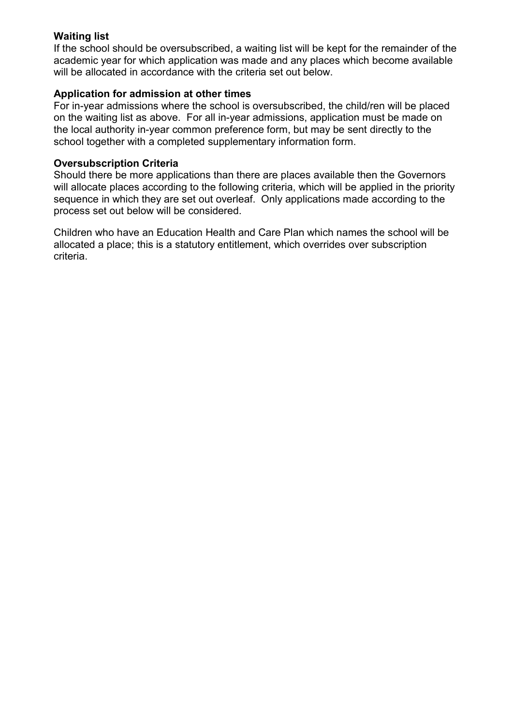### Waiting list

If the school should be oversubscribed, a waiting list will be kept for the remainder of the academic year for which application was made and any places which become available will be allocated in accordance with the criteria set out below.

#### Application for admission at other times

For in-year admissions where the school is oversubscribed, the child/ren will be placed on the waiting list as above. For all in-year admissions, application must be made on the local authority in-year common preference form, but may be sent directly to the school together with a completed supplementary information form.

#### Oversubscription Criteria

Should there be more applications than there are places available then the Governors will allocate places according to the following criteria, which will be applied in the priority sequence in which they are set out overleaf. Only applications made according to the process set out below will be considered.

Children who have an Education Health and Care Plan which names the school will be allocated a place; this is a statutory entitlement, which overrides over subscription criteria.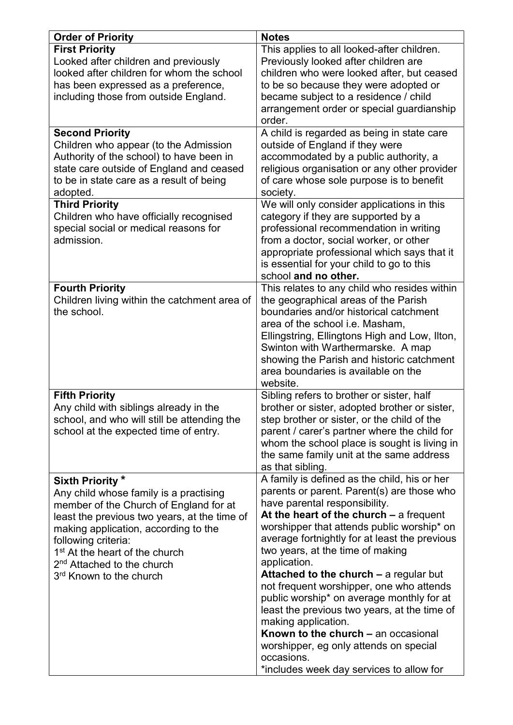| <b>Order of Priority</b>                                                                                                                                                                                                                                                                                                                           | <b>Notes</b>                                                                                                                                                                                                                                                                                                                                                                                                                                                                                                                                                                                                                                                                            |
|----------------------------------------------------------------------------------------------------------------------------------------------------------------------------------------------------------------------------------------------------------------------------------------------------------------------------------------------------|-----------------------------------------------------------------------------------------------------------------------------------------------------------------------------------------------------------------------------------------------------------------------------------------------------------------------------------------------------------------------------------------------------------------------------------------------------------------------------------------------------------------------------------------------------------------------------------------------------------------------------------------------------------------------------------------|
| <b>First Priority</b><br>Looked after children and previously<br>looked after children for whom the school<br>has been expressed as a preference,<br>including those from outside England.                                                                                                                                                         | This applies to all looked-after children.<br>Previously looked after children are<br>children who were looked after, but ceased<br>to be so because they were adopted or<br>became subject to a residence / child<br>arrangement order or special guardianship<br>order.                                                                                                                                                                                                                                                                                                                                                                                                               |
| <b>Second Priority</b><br>Children who appear (to the Admission<br>Authority of the school) to have been in<br>state care outside of England and ceased<br>to be in state care as a result of being<br>adopted.                                                                                                                                    | A child is regarded as being in state care<br>outside of England if they were<br>accommodated by a public authority, a<br>religious organisation or any other provider<br>of care whose sole purpose is to benefit<br>society.                                                                                                                                                                                                                                                                                                                                                                                                                                                          |
| <b>Third Priority</b><br>Children who have officially recognised<br>special social or medical reasons for<br>admission.                                                                                                                                                                                                                            | We will only consider applications in this<br>category if they are supported by a<br>professional recommendation in writing<br>from a doctor, social worker, or other<br>appropriate professional which says that it<br>is essential for your child to go to this<br>school and no other.                                                                                                                                                                                                                                                                                                                                                                                               |
| <b>Fourth Priority</b><br>Children living within the catchment area of<br>the school.                                                                                                                                                                                                                                                              | This relates to any child who resides within<br>the geographical areas of the Parish<br>boundaries and/or historical catchment<br>area of the school i.e. Masham,<br>Ellingstring, Ellingtons High and Low, Ilton,<br>Swinton with Warthermarske. A map<br>showing the Parish and historic catchment<br>area boundaries is available on the<br>website.                                                                                                                                                                                                                                                                                                                                 |
| <b>Fifth Priority</b><br>Any child with siblings already in the<br>school, and who will still be attending the<br>school at the expected time of entry.                                                                                                                                                                                            | Sibling refers to brother or sister, half<br>brother or sister, adopted brother or sister,<br>step brother or sister, or the child of the<br>parent / carer's partner where the child for<br>whom the school place is sought is living in<br>the same family unit at the same address<br>as that sibling.                                                                                                                                                                                                                                                                                                                                                                               |
| Sixth Priority *<br>Any child whose family is a practising<br>member of the Church of England for at<br>least the previous two years, at the time of<br>making application, according to the<br>following criteria:<br>1 <sup>st</sup> At the heart of the church<br>2 <sup>nd</sup> Attached to the church<br>3 <sup>rd</sup> Known to the church | A family is defined as the child, his or her<br>parents or parent. Parent(s) are those who<br>have parental responsibility.<br>At the heart of the church $-$ a frequent<br>worshipper that attends public worship* on<br>average fortnightly for at least the previous<br>two years, at the time of making<br>application.<br><b>Attached to the church – a regular but</b><br>not frequent worshipper, one who attends<br>public worship* on average monthly for at<br>least the previous two years, at the time of<br>making application.<br>Known to the church – an occasional<br>worshipper, eg only attends on special<br>occasions.<br>*includes week day services to allow for |